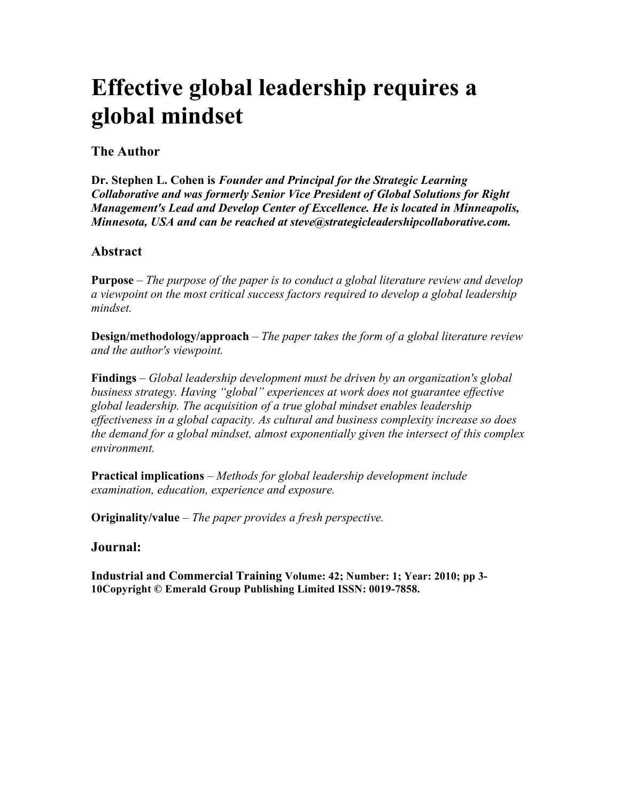# **Effective global leadership requires a global mindset**

# **The Author**

**Dr. Stephen L. Cohen is** *Founder and Principal for the Strategic Learning Collaborative and was formerly Senior Vice President of Global Solutions for Right Management's Lead and Develop Center of Excellence. He is located in Minneapolis, Minnesota, USA and can be reached at steve@strategicleadershipcollaborative.com.*

# **Abstract**

**Purpose** – *The purpose of the paper is to conduct a global literature review and develop a viewpoint on the most critical success factors required to develop a global leadership mindset.*

**Design/methodology/approach** – *The paper takes the form of a global literature review and the author's viewpoint.*

**Findings** – *Global leadership development must be driven by an organization's global business strategy. Having "global" experiences at work does not guarantee effective global leadership. The acquisition of a true global mindset enables leadership effectiveness in a global capacity. As cultural and business complexity increase so does the demand for a global mindset, almost exponentially given the intersect of this complex environment.*

**Practical implications** – *Methods for global leadership development include examination, education, experience and exposure.*

**Originality/value** – *The paper provides a fresh perspective.*

# **Journal:**

**Industrial and Commercial Training Volume: 42; Number: 1; Year: 2010; pp 3- 10Copyright © Emerald Group Publishing Limited ISSN: 0019-7858.**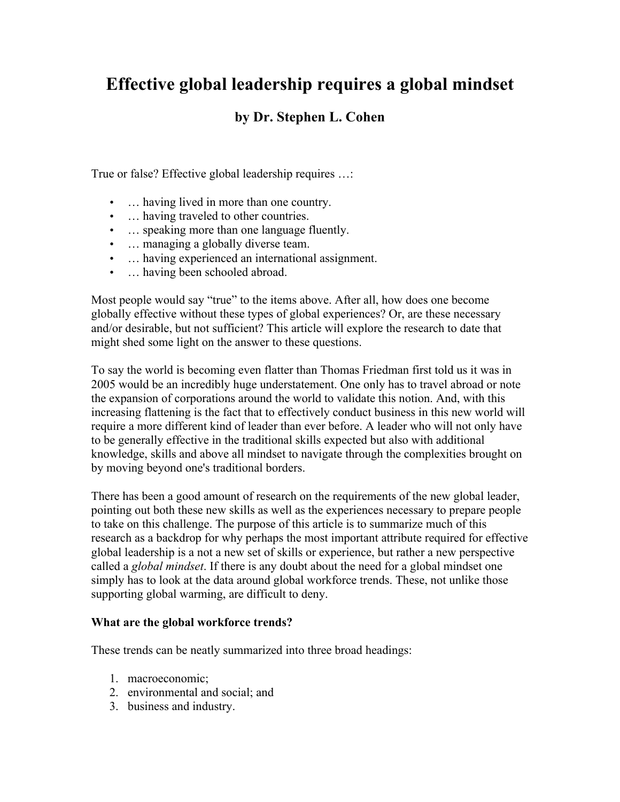# **Effective global leadership requires a global mindset**

# **by Dr. Stephen L. Cohen**

True or false? Effective global leadership requires …:

- … having lived in more than one country.
- ... having traveled to other countries.
- … speaking more than one language fluently.
- ... managing a globally diverse team.
- … having experienced an international assignment.
- ... having been schooled abroad.

Most people would say "true" to the items above. After all, how does one become globally effective without these types of global experiences? Or, are these necessary and/or desirable, but not sufficient? This article will explore the research to date that might shed some light on the answer to these questions.

To say the world is becoming even flatter than Thomas Friedman first told us it was in 2005 would be an incredibly huge understatement. One only has to travel abroad or note the expansion of corporations around the world to validate this notion. And, with this increasing flattening is the fact that to effectively conduct business in this new world will require a more different kind of leader than ever before. A leader who will not only have to be generally effective in the traditional skills expected but also with additional knowledge, skills and above all mindset to navigate through the complexities brought on by moving beyond one's traditional borders.

There has been a good amount of research on the requirements of the new global leader, pointing out both these new skills as well as the experiences necessary to prepare people to take on this challenge. The purpose of this article is to summarize much of this research as a backdrop for why perhaps the most important attribute required for effective global leadership is a not a new set of skills or experience, but rather a new perspective called a *global mindset*. If there is any doubt about the need for a global mindset one simply has to look at the data around global workforce trends. These, not unlike those supporting global warming, are difficult to deny.

#### **What are the global workforce trends?**

These trends can be neatly summarized into three broad headings:

- 1. macroeconomic;
- 2. environmental and social; and
- 3. business and industry.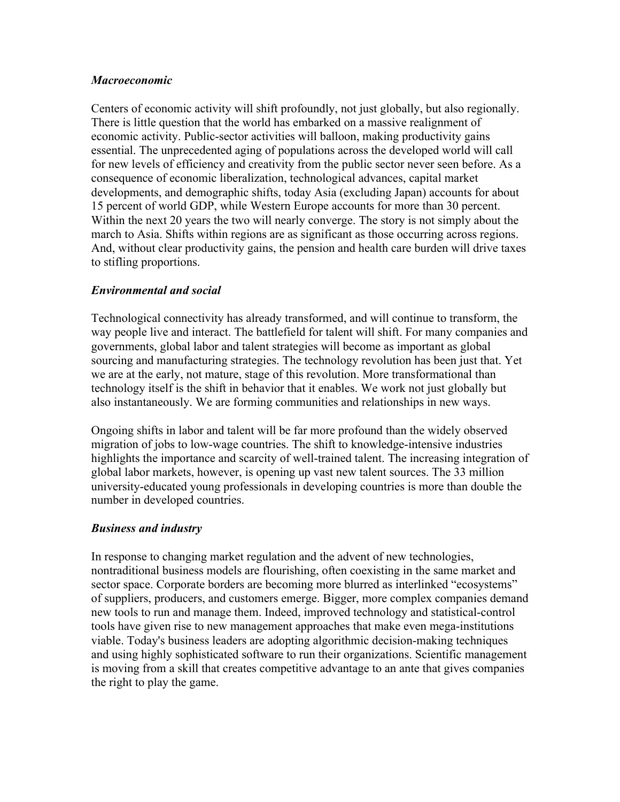#### *Macroeconomic*

Centers of economic activity will shift profoundly, not just globally, but also regionally. There is little question that the world has embarked on a massive realignment of economic activity. Public-sector activities will balloon, making productivity gains essential. The unprecedented aging of populations across the developed world will call for new levels of efficiency and creativity from the public sector never seen before. As a consequence of economic liberalization, technological advances, capital market developments, and demographic shifts, today Asia (excluding Japan) accounts for about 15 percent of world GDP, while Western Europe accounts for more than 30 percent. Within the next 20 years the two will nearly converge. The story is not simply about the march to Asia. Shifts within regions are as significant as those occurring across regions. And, without clear productivity gains, the pension and health care burden will drive taxes to stifling proportions.

#### *Environmental and social*

Technological connectivity has already transformed, and will continue to transform, the way people live and interact. The battlefield for talent will shift. For many companies and governments, global labor and talent strategies will become as important as global sourcing and manufacturing strategies. The technology revolution has been just that. Yet we are at the early, not mature, stage of this revolution. More transformational than technology itself is the shift in behavior that it enables. We work not just globally but also instantaneously. We are forming communities and relationships in new ways.

Ongoing shifts in labor and talent will be far more profound than the widely observed migration of jobs to low-wage countries. The shift to knowledge-intensive industries highlights the importance and scarcity of well-trained talent. The increasing integration of global labor markets, however, is opening up vast new talent sources. The 33 million university-educated young professionals in developing countries is more than double the number in developed countries.

#### *Business and industry*

In response to changing market regulation and the advent of new technologies, nontraditional business models are flourishing, often coexisting in the same market and sector space. Corporate borders are becoming more blurred as interlinked "ecosystems" of suppliers, producers, and customers emerge. Bigger, more complex companies demand new tools to run and manage them. Indeed, improved technology and statistical-control tools have given rise to new management approaches that make even mega-institutions viable. Today's business leaders are adopting algorithmic decision-making techniques and using highly sophisticated software to run their organizations. Scientific management is moving from a skill that creates competitive advantage to an ante that gives companies the right to play the game.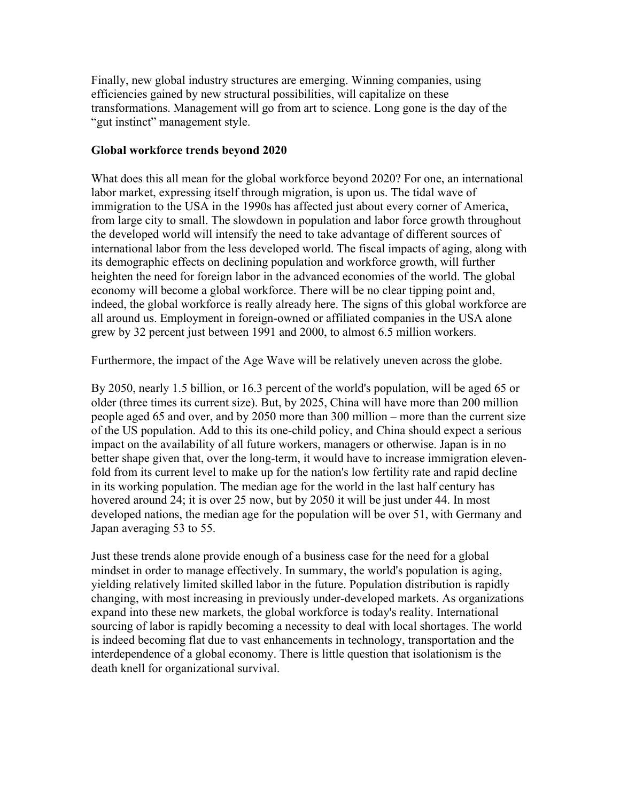Finally, new global industry structures are emerging. Winning companies, using efficiencies gained by new structural possibilities, will capitalize on these transformations. Management will go from art to science. Long gone is the day of the "gut instinct" management style.

#### **Global workforce trends beyond 2020**

What does this all mean for the global workforce beyond 2020? For one, an international labor market, expressing itself through migration, is upon us. The tidal wave of immigration to the USA in the 1990s has affected just about every corner of America, from large city to small. The slowdown in population and labor force growth throughout the developed world will intensify the need to take advantage of different sources of international labor from the less developed world. The fiscal impacts of aging, along with its demographic effects on declining population and workforce growth, will further heighten the need for foreign labor in the advanced economies of the world. The global economy will become a global workforce. There will be no clear tipping point and, indeed, the global workforce is really already here. The signs of this global workforce are all around us. Employment in foreign-owned or affiliated companies in the USA alone grew by 32 percent just between 1991 and 2000, to almost 6.5 million workers.

Furthermore, the impact of the Age Wave will be relatively uneven across the globe.

By 2050, nearly 1.5 billion, or 16.3 percent of the world's population, will be aged 65 or older (three times its current size). But, by 2025, China will have more than 200 million people aged 65 and over, and by 2050 more than 300 million – more than the current size of the US population. Add to this its one-child policy, and China should expect a serious impact on the availability of all future workers, managers or otherwise. Japan is in no better shape given that, over the long-term, it would have to increase immigration elevenfold from its current level to make up for the nation's low fertility rate and rapid decline in its working population. The median age for the world in the last half century has hovered around 24; it is over 25 now, but by 2050 it will be just under 44. In most developed nations, the median age for the population will be over 51, with Germany and Japan averaging 53 to 55.

Just these trends alone provide enough of a business case for the need for a global mindset in order to manage effectively. In summary, the world's population is aging, yielding relatively limited skilled labor in the future. Population distribution is rapidly changing, with most increasing in previously under-developed markets. As organizations expand into these new markets, the global workforce is today's reality. International sourcing of labor is rapidly becoming a necessity to deal with local shortages. The world is indeed becoming flat due to vast enhancements in technology, transportation and the interdependence of a global economy. There is little question that isolationism is the death knell for organizational survival.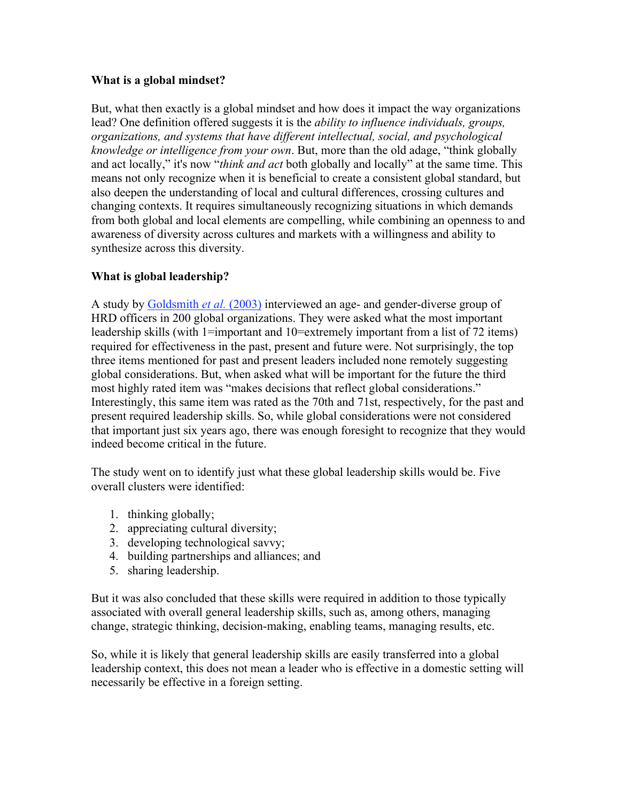#### **What is a global mindset?**

But, what then exactly is a global mindset and how does it impact the way organizations lead? One definition offered suggests it is the *ability to influence individuals, groups, organizations, and systems that have different intellectual, social, and psychological knowledge or intelligence from your own*. But, more than the old adage, "think globally and act locally," it's now "*think and act* both globally and locally" at the same time. This means not only recognize when it is beneficial to create a consistent global standard, but also deepen the understanding of local and cultural differences, crossing cultures and changing contexts. It requires simultaneously recognizing situations in which demands from both global and local elements are compelling, while combining an openness to and awareness of diversity across cultures and markets with a willingness and ability to synthesize across this diversity.

## **What is global leadership?**

A study by Goldsmith *et al.* (2003) interviewed an age- and gender-diverse group of HRD officers in 200 global organizations. They were asked what the most important leadership skills (with 1=important and 10=extremely important from a list of 72 items) required for effectiveness in the past, present and future were. Not surprisingly, the top three items mentioned for past and present leaders included none remotely suggesting global considerations. But, when asked what will be important for the future the third most highly rated item was "makes decisions that reflect global considerations." Interestingly, this same item was rated as the 70th and 71st, respectively, for the past and present required leadership skills. So, while global considerations were not considered that important just six years ago, there was enough foresight to recognize that they would indeed become critical in the future.

The study went on to identify just what these global leadership skills would be. Five overall clusters were identified:

- 1. thinking globally;
- 2. appreciating cultural diversity;
- 3. developing technological savvy;
- 4. building partnerships and alliances; and
- 5. sharing leadership.

But it was also concluded that these skills were required in addition to those typically associated with overall general leadership skills, such as, among others, managing change, strategic thinking, decision-making, enabling teams, managing results, etc.

So, while it is likely that general leadership skills are easily transferred into a global leadership context, this does not mean a leader who is effective in a domestic setting will necessarily be effective in a foreign setting.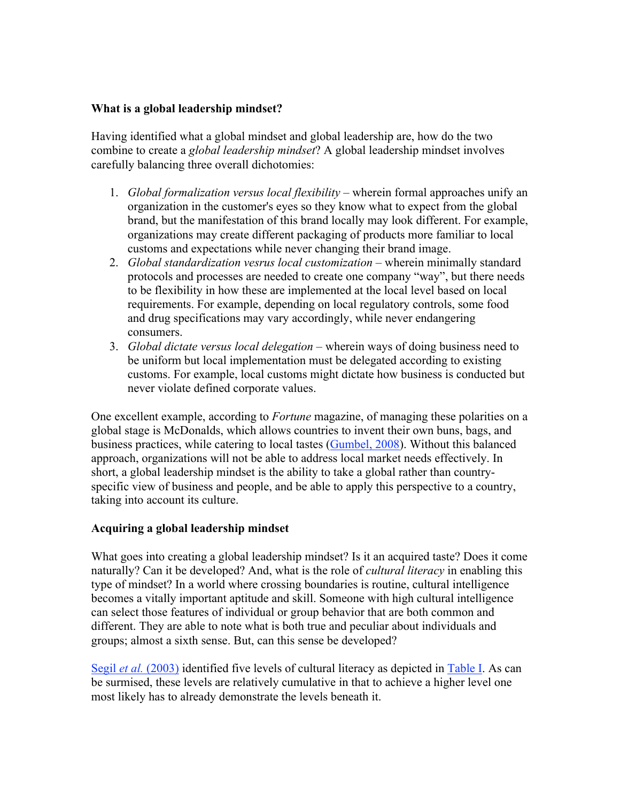#### **What is a global leadership mindset?**

Having identified what a global mindset and global leadership are, how do the two combine to create a *global leadership mindset*? A global leadership mindset involves carefully balancing three overall dichotomies:

- 1. *Global formalization versus local flexibility* wherein formal approaches unify an organization in the customer's eyes so they know what to expect from the global brand, but the manifestation of this brand locally may look different. For example, organizations may create different packaging of products more familiar to local customs and expectations while never changing their brand image.
- 2. *Global standardization vesrus local customization* wherein minimally standard protocols and processes are needed to create one company "way", but there needs to be flexibility in how these are implemented at the local level based on local requirements. For example, depending on local regulatory controls, some food and drug specifications may vary accordingly, while never endangering consumers.
- 3. *Global dictate versus local delegation* wherein ways of doing business need to be uniform but local implementation must be delegated according to existing customs. For example, local customs might dictate how business is conducted but never violate defined corporate values.

One excellent example, according to *Fortune* magazine, of managing these polarities on a global stage is McDonalds, which allows countries to invent their own buns, bags, and business practices, while catering to local tastes (Gumbel, 2008). Without this balanced approach, organizations will not be able to address local market needs effectively. In short, a global leadership mindset is the ability to take a global rather than countryspecific view of business and people, and be able to apply this perspective to a country, taking into account its culture.

#### **Acquiring a global leadership mindset**

What goes into creating a global leadership mindset? Is it an acquired taste? Does it come naturally? Can it be developed? And, what is the role of *cultural literacy* in enabling this type of mindset? In a world where crossing boundaries is routine, cultural intelligence becomes a vitally important aptitude and skill. Someone with high cultural intelligence can select those features of individual or group behavior that are both common and different. They are able to note what is both true and peculiar about individuals and groups; almost a sixth sense. But, can this sense be developed?

Segil *et al.* (2003) identified five levels of cultural literacy as depicted in Table I. As can be surmised, these levels are relatively cumulative in that to achieve a higher level one most likely has to already demonstrate the levels beneath it.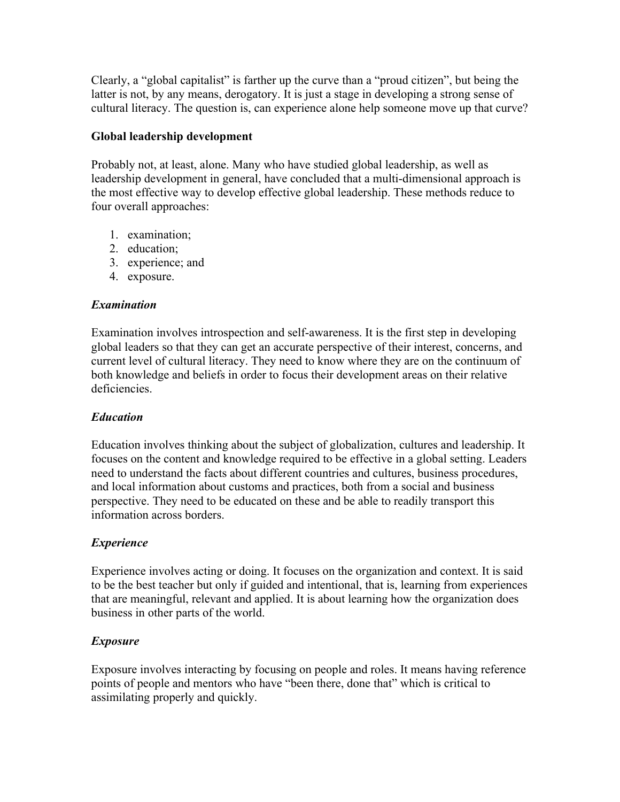Clearly, a "global capitalist" is farther up the curve than a "proud citizen", but being the latter is not, by any means, derogatory. It is just a stage in developing a strong sense of cultural literacy. The question is, can experience alone help someone move up that curve?

#### **Global leadership development**

Probably not, at least, alone. Many who have studied global leadership, as well as leadership development in general, have concluded that a multi-dimensional approach is the most effective way to develop effective global leadership. These methods reduce to four overall approaches:

- 1. examination;
- 2. education;
- 3. experience; and
- 4. exposure.

## *Examination*

Examination involves introspection and self-awareness. It is the first step in developing global leaders so that they can get an accurate perspective of their interest, concerns, and current level of cultural literacy. They need to know where they are on the continuum of both knowledge and beliefs in order to focus their development areas on their relative deficiencies.

# *Education*

Education involves thinking about the subject of globalization, cultures and leadership. It focuses on the content and knowledge required to be effective in a global setting. Leaders need to understand the facts about different countries and cultures, business procedures, and local information about customs and practices, both from a social and business perspective. They need to be educated on these and be able to readily transport this information across borders.

# *Experience*

Experience involves acting or doing. It focuses on the organization and context. It is said to be the best teacher but only if guided and intentional, that is, learning from experiences that are meaningful, relevant and applied. It is about learning how the organization does business in other parts of the world.

# *Exposure*

Exposure involves interacting by focusing on people and roles. It means having reference points of people and mentors who have "been there, done that" which is critical to assimilating properly and quickly.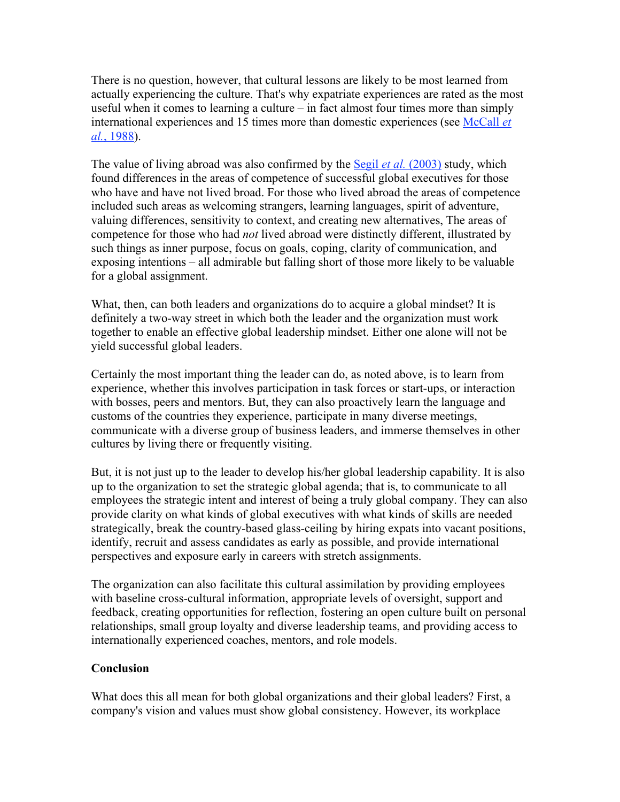There is no question, however, that cultural lessons are likely to be most learned from actually experiencing the culture. That's why expatriate experiences are rated as the most useful when it comes to learning a culture – in fact almost four times more than simply international experiences and 15 times more than domestic experiences (see McCall *et al.*, 1988).

The value of living abroad was also confirmed by the Segil *et al.* (2003) study, which found differences in the areas of competence of successful global executives for those who have and have not lived broad. For those who lived abroad the areas of competence included such areas as welcoming strangers, learning languages, spirit of adventure, valuing differences, sensitivity to context, and creating new alternatives, The areas of competence for those who had *not* lived abroad were distinctly different, illustrated by such things as inner purpose, focus on goals, coping, clarity of communication, and exposing intentions – all admirable but falling short of those more likely to be valuable for a global assignment.

What, then, can both leaders and organizations do to acquire a global mindset? It is definitely a two-way street in which both the leader and the organization must work together to enable an effective global leadership mindset. Either one alone will not be yield successful global leaders.

Certainly the most important thing the leader can do, as noted above, is to learn from experience, whether this involves participation in task forces or start-ups, or interaction with bosses, peers and mentors. But, they can also proactively learn the language and customs of the countries they experience, participate in many diverse meetings, communicate with a diverse group of business leaders, and immerse themselves in other cultures by living there or frequently visiting.

But, it is not just up to the leader to develop his/her global leadership capability. It is also up to the organization to set the strategic global agenda; that is, to communicate to all employees the strategic intent and interest of being a truly global company. They can also provide clarity on what kinds of global executives with what kinds of skills are needed strategically, break the country-based glass-ceiling by hiring expats into vacant positions, identify, recruit and assess candidates as early as possible, and provide international perspectives and exposure early in careers with stretch assignments.

The organization can also facilitate this cultural assimilation by providing employees with baseline cross-cultural information, appropriate levels of oversight, support and feedback, creating opportunities for reflection, fostering an open culture built on personal relationships, small group loyalty and diverse leadership teams, and providing access to internationally experienced coaches, mentors, and role models.

#### **Conclusion**

What does this all mean for both global organizations and their global leaders? First, a company's vision and values must show global consistency. However, its workplace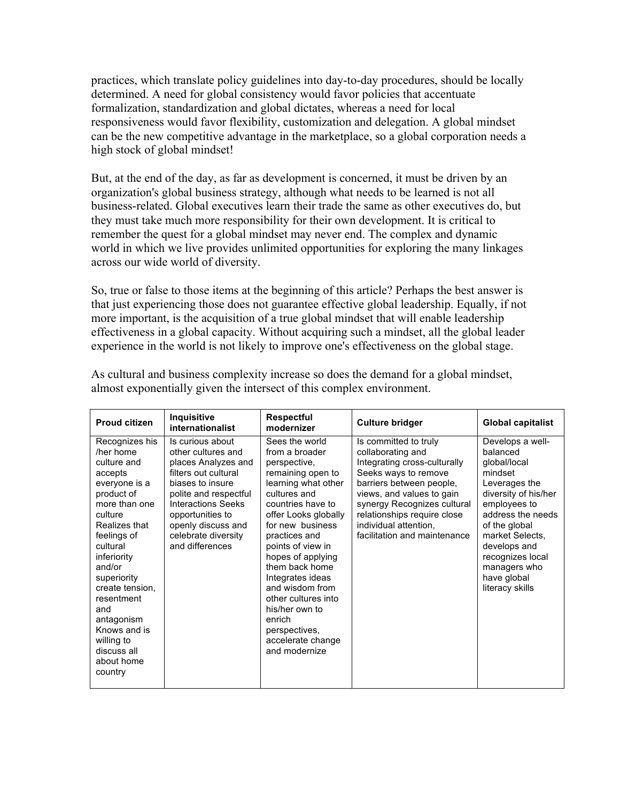practices, which translate policy guidelines into day-to-day procedures, should be locally determined. A need for global consistency would favor policies that accentuate formalization, standardization and global dictates, whereas a need for local responsiveness would favor flexibility, customization and delegation. A global mindset can be the new competitive advantage in the marketplace, so a global corporation needs a high stock of global mindset!

But, at the end of the day, as far as development is concerned, it must be driven by an organization's global business strategy, although what needs to be learned is not all business-related. Global executives learn their trade the same as other executives do, but they must take much more responsibility for their own development. It is critical to remember the quest for a global mindset may never end. The complex and dynamic world in which we live provides unlimited opportunities for exploring the many linkages across our wide world of diversity.

So, true or false to those items at the beginning of this article? Perhaps the best answer is that just experiencing those does not guarantee effective global leadership. Equally, if not more important, is the acquisition of a true global mindset that will enable leadership effectiveness in a global capacity. Without acquiring such a mindset, all the global leader experience in the world is not likely to improve one's effectiveness on the global stage.

| <b>Proud citizen</b>                                                                                                                                                                                                                                                                                                             | Inquisitive<br>internationalist                                                                                                                                                                                                                     | <b>Respectful</b><br>modernizer                                                                                                                                                                                                                                                                                                                                                                             | <b>Culture bridger</b>                                                                                                                                                                                                                                                             | <b>Global capitalist</b>                                                                                                                                                                                                                                        |
|----------------------------------------------------------------------------------------------------------------------------------------------------------------------------------------------------------------------------------------------------------------------------------------------------------------------------------|-----------------------------------------------------------------------------------------------------------------------------------------------------------------------------------------------------------------------------------------------------|-------------------------------------------------------------------------------------------------------------------------------------------------------------------------------------------------------------------------------------------------------------------------------------------------------------------------------------------------------------------------------------------------------------|------------------------------------------------------------------------------------------------------------------------------------------------------------------------------------------------------------------------------------------------------------------------------------|-----------------------------------------------------------------------------------------------------------------------------------------------------------------------------------------------------------------------------------------------------------------|
| Recognizes his<br>/her home<br>culture and<br>accepts<br>everyone is a<br>product of<br>more than one<br>culture<br>Realizes that<br>feelings of<br>cultural<br>inferiority<br>and/or<br>superiority<br>create tension.<br>resentment<br>and<br>antagonism<br>Knows and is<br>willing to<br>discuss all<br>about home<br>country | Is curious about<br>other cultures and<br>places Analyzes and<br>filters out cultural<br>biases to insure<br>polite and respectful<br><b>Interactions Seeks</b><br>opportunities to<br>openly discuss and<br>celebrate diversity<br>and differences | Sees the world<br>from a broader<br>perspective,<br>remaining open to<br>learning what other<br>cultures and<br>countries have to<br>offer Looks globally<br>for new business<br>practices and<br>points of view in<br>hopes of applying<br>them back home<br>Integrates ideas<br>and wisdom from<br>other cultures into<br>his/her own to<br>enrich<br>perspectives,<br>accelerate change<br>and modernize | Is committed to truly<br>collaborating and<br>Integrating cross-culturally<br>Seeks ways to remove<br>barriers between people,<br>views, and values to gain<br>synergy Recognizes cultural<br>relationships require close<br>individual attention,<br>facilitation and maintenance | Develops a well-<br>balanced<br>global/local<br>mindset<br>Leverages the<br>diversity of his/her<br>employees to<br>address the needs<br>of the global<br>market Selects.<br>develops and<br>recognizes local<br>managers who<br>have global<br>literacy skills |

As cultural and business complexity increase so does the demand for a global mindset, almost exponentially given the intersect of this complex environment.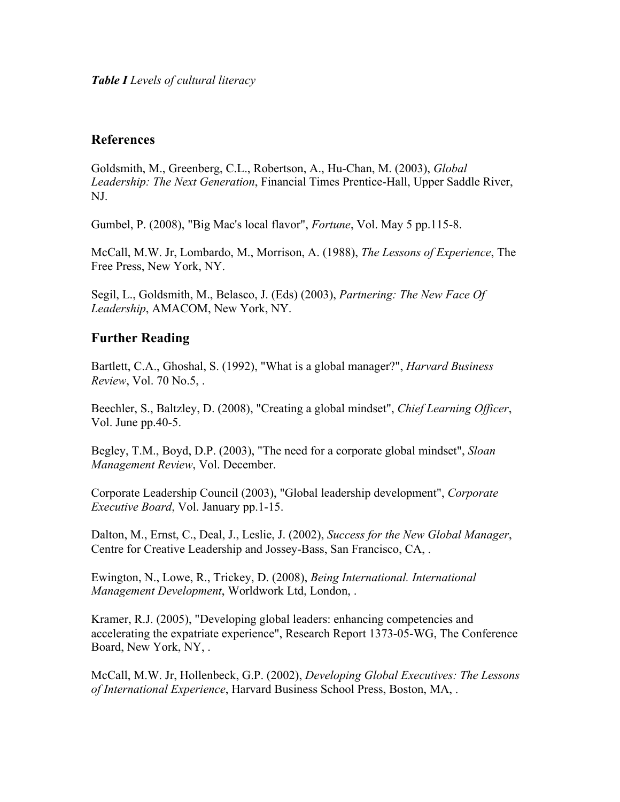*Table I Levels of cultural literacy*

# **References**

Goldsmith, M., Greenberg, C.L., Robertson, A., Hu-Chan, M. (2003), *Global Leadership: The Next Generation*, Financial Times Prentice-Hall, Upper Saddle River, NJ.

Gumbel, P. (2008), "Big Mac's local flavor", *Fortune*, Vol. May 5 pp.115-8.

McCall, M.W. Jr, Lombardo, M., Morrison, A. (1988), *The Lessons of Experience*, The Free Press, New York, NY.

Segil, L., Goldsmith, M., Belasco, J. (Eds) (2003), *Partnering: The New Face Of Leadership*, AMACOM, New York, NY.

# **Further Reading**

Bartlett, C.A., Ghoshal, S. (1992), "What is a global manager?", *Harvard Business Review*, Vol. 70 No.5, .

Beechler, S., Baltzley, D. (2008), "Creating a global mindset", *Chief Learning Officer*, Vol. June pp.40-5.

Begley, T.M., Boyd, D.P. (2003), "The need for a corporate global mindset", *Sloan Management Review*, Vol. December.

Corporate Leadership Council (2003), "Global leadership development", *Corporate Executive Board*, Vol. January pp.1-15.

Dalton, M., Ernst, C., Deal, J., Leslie, J. (2002), *Success for the New Global Manager*, Centre for Creative Leadership and Jossey-Bass, San Francisco, CA, .

Ewington, N., Lowe, R., Trickey, D. (2008), *Being International. International Management Development*, Worldwork Ltd, London, .

Kramer, R.J. (2005), "Developing global leaders: enhancing competencies and accelerating the expatriate experience", Research Report 1373-05-WG, The Conference Board, New York, NY, .

McCall, M.W. Jr, Hollenbeck, G.P. (2002), *Developing Global Executives: The Lessons of International Experience*, Harvard Business School Press, Boston, MA, .